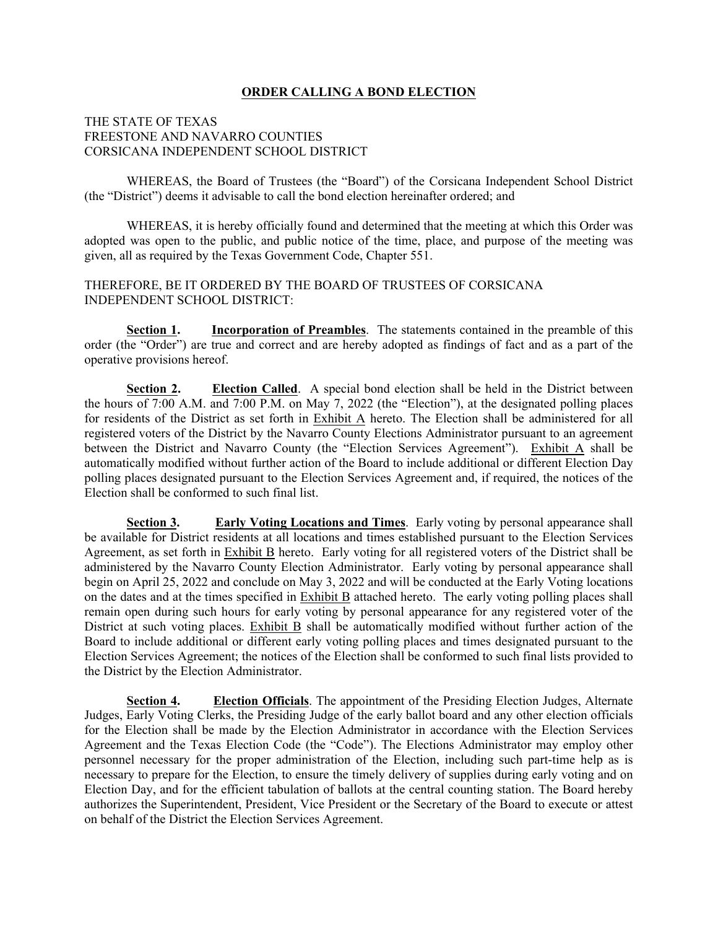#### **ORDER CALLING A BOND ELECTION**

### THE STATE OF TEXAS FREESTONE AND NAVARRO COUNTIES CORSICANA INDEPENDENT SCHOOL DISTRICT

WHEREAS, the Board of Trustees (the "Board") of the Corsicana Independent School District (the "District") deems it advisable to call the bond election hereinafter ordered; and

WHEREAS, it is hereby officially found and determined that the meeting at which this Order was adopted was open to the public, and public notice of the time, place, and purpose of the meeting was given, all as required by the Texas Government Code, Chapter 551.

#### THEREFORE, BE IT ORDERED BY THE BOARD OF TRUSTEES OF CORSICANA INDEPENDENT SCHOOL DISTRICT:

**Section 1. Incorporation of Preambles**. The statements contained in the preamble of this order (the "Order") are true and correct and are hereby adopted as findings of fact and as a part of the operative provisions hereof.

**Section 2. Election Called**. A special bond election shall be held in the District between the hours of 7:00 A.M. and 7:00 P.M. on May 7, 2022 (the "Election"), at the designated polling places for residents of the District as set forth in Exhibit A hereto. The Election shall be administered for all registered voters of the District by the Navarro County Elections Administrator pursuant to an agreement between the District and Navarro County (the "Election Services Agreement"). Exhibit A shall be automatically modified without further action of the Board to include additional or different Election Day polling places designated pursuant to the Election Services Agreement and, if required, the notices of the Election shall be conformed to such final list.

**Section 3. Early Voting Locations and Times**. Early voting by personal appearance shall be available for District residents at all locations and times established pursuant to the Election Services Agreement, as set forth in Exhibit B hereto. Early voting for all registered voters of the District shall be administered by the Navarro County Election Administrator. Early voting by personal appearance shall begin on April 25, 2022 and conclude on May 3, 2022 and will be conducted at the Early Voting locations on the dates and at the times specified in Exhibit B attached hereto. The early voting polling places shall remain open during such hours for early voting by personal appearance for any registered voter of the District at such voting places. Exhibit B shall be automatically modified without further action of the Board to include additional or different early voting polling places and times designated pursuant to the Election Services Agreement; the notices of the Election shall be conformed to such final lists provided to the District by the Election Administrator.

**Section 4. Election Officials**. The appointment of the Presiding Election Judges, Alternate Judges, Early Voting Clerks, the Presiding Judge of the early ballot board and any other election officials for the Election shall be made by the Election Administrator in accordance with the Election Services Agreement and the Texas Election Code (the "Code"). The Elections Administrator may employ other personnel necessary for the proper administration of the Election, including such part-time help as is necessary to prepare for the Election, to ensure the timely delivery of supplies during early voting and on Election Day, and for the efficient tabulation of ballots at the central counting station. The Board hereby authorizes the Superintendent, President, Vice President or the Secretary of the Board to execute or attest on behalf of the District the Election Services Agreement.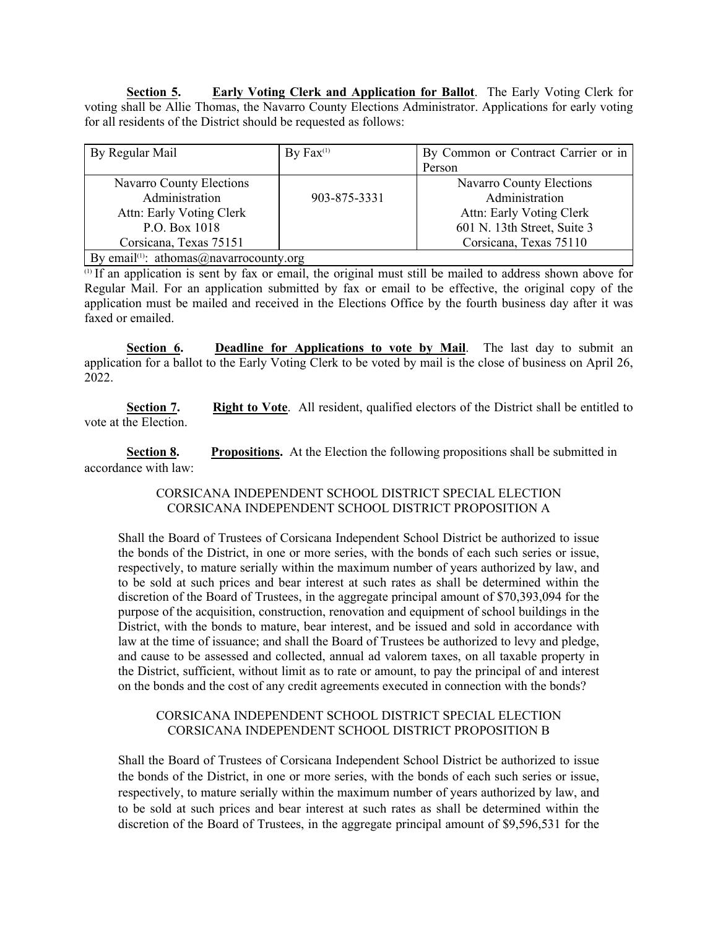**Section 5. Early Voting Clerk and Application for Ballot**. The Early Voting Clerk for voting shall be Allie Thomas, the Navarro County Elections Administrator. Applications for early voting for all residents of the District should be requested as follows:

| By Regular Mail                                     | By $Fax^{(1)}$ | By Common or Contract Carrier or in |
|-----------------------------------------------------|----------------|-------------------------------------|
|                                                     |                | Person                              |
| <b>Navarro County Elections</b>                     |                | Navarro County Elections            |
| Administration                                      | 903-875-3331   | Administration                      |
| Attn: Early Voting Clerk                            |                | Attn: Early Voting Clerk            |
| P.O. Box 1018                                       |                | 601 N. 13th Street, Suite 3         |
| Corsicana, Texas 75151                              |                | Corsicana, Texas 75110              |
| By email <sup>(1)</sup> : athomas@navarrocounty.org |                |                                     |

 $\overline{a}$  If an application is sent by fax or email, the original must still be mailed to address shown above for Regular Mail. For an application submitted by fax or email to be effective, the original copy of the application must be mailed and received in the Elections Office by the fourth business day after it was faxed or emailed.

**Section 6. Deadline for Applications to vote by Mail**. The last day to submit an application for a ballot to the Early Voting Clerk to be voted by mail is the close of business on April 26, 2022.

**Section 7.** Right to Vote. All resident, qualified electors of the District shall be entitled to vote at the Election.

**Section 8. Propositions.** At the Election the following propositions shall be submitted in accordance with law:

#### CORSICANA INDEPENDENT SCHOOL DISTRICT SPECIAL ELECTION CORSICANA INDEPENDENT SCHOOL DISTRICT PROPOSITION A

Shall the Board of Trustees of Corsicana Independent School District be authorized to issue the bonds of the District, in one or more series, with the bonds of each such series or issue, respectively, to mature serially within the maximum number of years authorized by law, and to be sold at such prices and bear interest at such rates as shall be determined within the discretion of the Board of Trustees, in the aggregate principal amount of \$70,393,094 for the purpose of the acquisition, construction, renovation and equipment of school buildings in the District, with the bonds to mature, bear interest, and be issued and sold in accordance with law at the time of issuance; and shall the Board of Trustees be authorized to levy and pledge, and cause to be assessed and collected, annual ad valorem taxes, on all taxable property in the District, sufficient, without limit as to rate or amount, to pay the principal of and interest on the bonds and the cost of any credit agreements executed in connection with the bonds?

#### CORSICANA INDEPENDENT SCHOOL DISTRICT SPECIAL ELECTION CORSICANA INDEPENDENT SCHOOL DISTRICT PROPOSITION B

Shall the Board of Trustees of Corsicana Independent School District be authorized to issue the bonds of the District, in one or more series, with the bonds of each such series or issue, respectively, to mature serially within the maximum number of years authorized by law, and to be sold at such prices and bear interest at such rates as shall be determined within the discretion of the Board of Trustees, in the aggregate principal amount of \$9,596,531 for the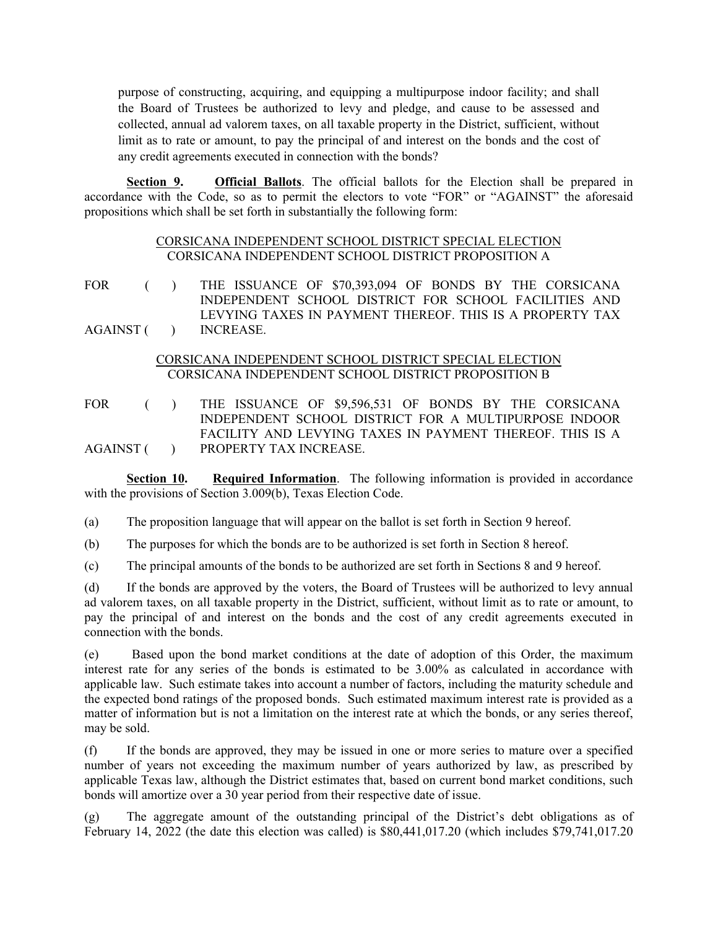purpose of constructing, acquiring, and equipping a multipurpose indoor facility; and shall the Board of Trustees be authorized to levy and pledge, and cause to be assessed and collected, annual ad valorem taxes, on all taxable property in the District, sufficient, without limit as to rate or amount, to pay the principal of and interest on the bonds and the cost of any credit agreements executed in connection with the bonds?

**Section 9. Official Ballots**. The official ballots for the Election shall be prepared in accordance with the Code, so as to permit the electors to vote "FOR" or "AGAINST" the aforesaid propositions which shall be set forth in substantially the following form:

### CORSICANA INDEPENDENT SCHOOL DISTRICT SPECIAL ELECTION CORSICANA INDEPENDENT SCHOOL DISTRICT PROPOSITION A

FOR ( ) THE ISSUANCE OF \$70,393,094 OF BONDS BY THE CORSICANA  $AGAINST$  ( ) INDEPENDENT SCHOOL DISTRICT FOR SCHOOL FACILITIES AND LEVYING TAXES IN PAYMENT THEREOF. THIS IS A PROPERTY TAX INCREASE.

## CORSICANA INDEPENDENT SCHOOL DISTRICT SPECIAL ELECTION CORSICANA INDEPENDENT SCHOOL DISTRICT PROPOSITION B

FOR ( ) THE ISSUANCE OF \$9,596,531 OF BONDS BY THE CORSICANA  $AGAINST$  ( ) INDEPENDENT SCHOOL DISTRICT FOR A MULTIPURPOSE INDOOR FACILITY AND LEVYING TAXES IN PAYMENT THEREOF. THIS IS A PROPERTY TAX INCREASE.

**Section 10. Required Information**. The following information is provided in accordance with the provisions of Section 3.009(b), Texas Election Code.

(a) The proposition language that will appear on the ballot is set forth in Section 9 hereof.

(b) The purposes for which the bonds are to be authorized is set forth in Section 8 hereof.

(c) The principal amounts of the bonds to be authorized are set forth in Sections 8 and 9 hereof.

(d) If the bonds are approved by the voters, the Board of Trustees will be authorized to levy annual ad valorem taxes, on all taxable property in the District, sufficient, without limit as to rate or amount, to pay the principal of and interest on the bonds and the cost of any credit agreements executed in connection with the bonds.

(e) Based upon the bond market conditions at the date of adoption of this Order, the maximum interest rate for any series of the bonds is estimated to be 3.00% as calculated in accordance with applicable law. Such estimate takes into account a number of factors, including the maturity schedule and the expected bond ratings of the proposed bonds. Such estimated maximum interest rate is provided as a matter of information but is not a limitation on the interest rate at which the bonds, or any series thereof, may be sold.

(f) If the bonds are approved, they may be issued in one or more series to mature over a specified number of years not exceeding the maximum number of years authorized by law, as prescribed by applicable Texas law, although the District estimates that, based on current bond market conditions, such bonds will amortize over a 30 year period from their respective date of issue.

(g) The aggregate amount of the outstanding principal of the District's debt obligations as of February 14, 2022 (the date this election was called) is \$80,441,017.20 (which includes \$79,741,017.20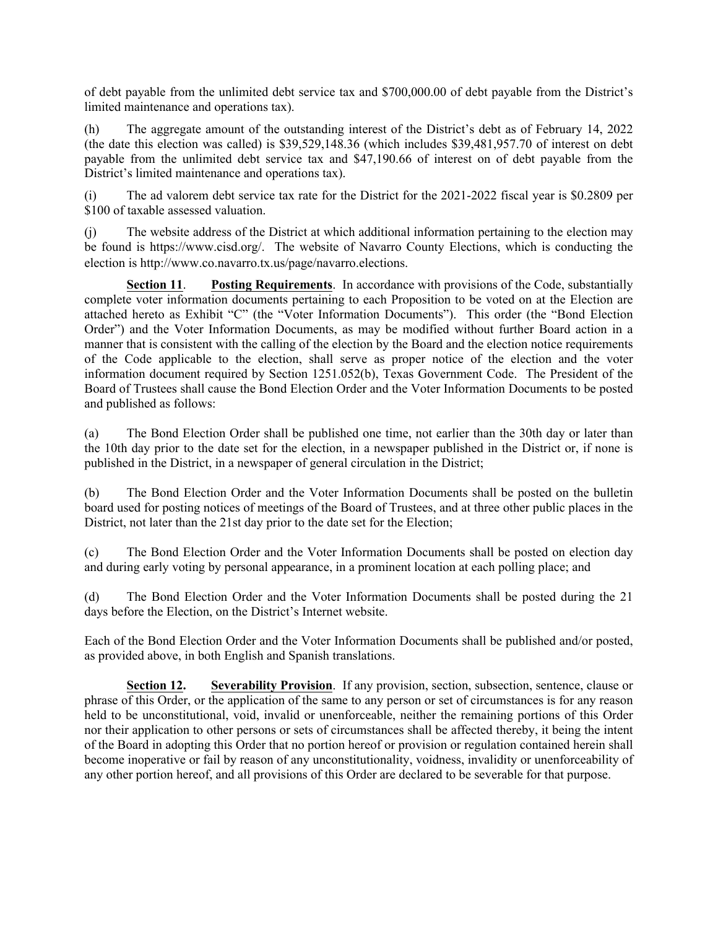of debt payable from the unlimited debt service tax and \$700,000.00 of debt payable from the District's limited maintenance and operations tax).

(h) The aggregate amount of the outstanding interest of the District's debt as of February 14, 2022 (the date this election was called) is \$39,529,148.36 (which includes \$39,481,957.70 of interest on debt payable from the unlimited debt service tax and \$47,190.66 of interest on of debt payable from the District's limited maintenance and operations tax).

(i) The ad valorem debt service tax rate for the District for the 2021-2022 fiscal year is \$0.2809 per \$100 of taxable assessed valuation.

(j) The website address of the District at which additional information pertaining to the election may be found is https://www.cisd.org/. The website of Navarro County Elections, which is conducting the election is http://www.co.navarro.tx.us/page/navarro.elections.

**Section 11**. **Posting Requirements**. In accordance with provisions of the Code, substantially complete voter information documents pertaining to each Proposition to be voted on at the Election are attached hereto as Exhibit "C" (the "Voter Information Documents"). This order (the "Bond Election Order") and the Voter Information Documents, as may be modified without further Board action in a manner that is consistent with the calling of the election by the Board and the election notice requirements of the Code applicable to the election, shall serve as proper notice of the election and the voter information document required by Section 1251.052(b), Texas Government Code. The President of the Board of Trustees shall cause the Bond Election Order and the Voter Information Documents to be posted and published as follows:

(a) The Bond Election Order shall be published one time, not earlier than the 30th day or later than the 10th day prior to the date set for the election, in a newspaper published in the District or, if none is published in the District, in a newspaper of general circulation in the District;

(b) The Bond Election Order and the Voter Information Documents shall be posted on the bulletin board used for posting notices of meetings of the Board of Trustees, and at three other public places in the District, not later than the 21st day prior to the date set for the Election;

(c) The Bond Election Order and the Voter Information Documents shall be posted on election day and during early voting by personal appearance, in a prominent location at each polling place; and

(d) The Bond Election Order and the Voter Information Documents shall be posted during the 21 days before the Election, on the District's Internet website.

Each of the Bond Election Order and the Voter Information Documents shall be published and/or posted, as provided above, in both English and Spanish translations.

**Section 12. Severability Provision**. If any provision, section, subsection, sentence, clause or phrase of this Order, or the application of the same to any person or set of circumstances is for any reason held to be unconstitutional, void, invalid or unenforceable, neither the remaining portions of this Order nor their application to other persons or sets of circumstances shall be affected thereby, it being the intent of the Board in adopting this Order that no portion hereof or provision or regulation contained herein shall become inoperative or fail by reason of any unconstitutionality, voidness, invalidity or unenforceability of any other portion hereof, and all provisions of this Order are declared to be severable for that purpose.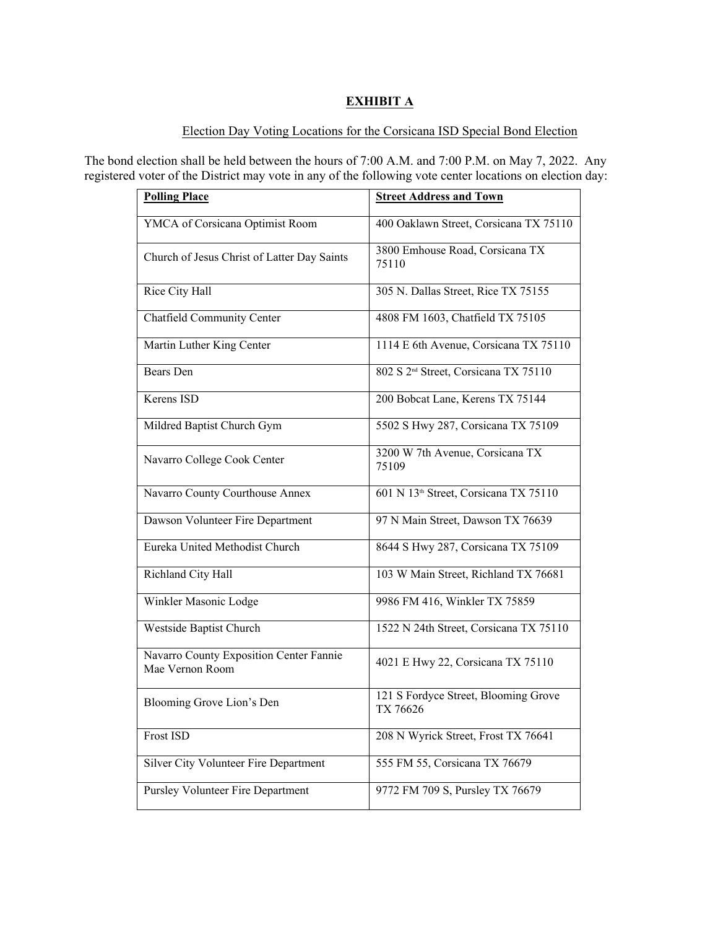# **EXHIBIT A**

# Election Day Voting Locations for the Corsicana ISD Special Bond Election

The bond election shall be held between the hours of 7:00 A.M. and 7:00 P.M. on May 7, 2022. Any registered voter of the District may vote in any of the following vote center locations on election day:

| <b>Polling Place</b>                                       | <b>Street Address and Town</b>                    |  |  |
|------------------------------------------------------------|---------------------------------------------------|--|--|
| YMCA of Corsicana Optimist Room                            | 400 Oaklawn Street, Corsicana TX 75110            |  |  |
| Church of Jesus Christ of Latter Day Saints                | 3800 Emhouse Road, Corsicana TX<br>75110          |  |  |
| Rice City Hall                                             | 305 N. Dallas Street, Rice TX 75155               |  |  |
| Chatfield Community Center                                 | 4808 FM 1603, Chatfield TX 75105                  |  |  |
| Martin Luther King Center                                  | 1114 E 6th Avenue, Corsicana TX 75110             |  |  |
| Bears Den                                                  | 802 S 2 <sup>nd</sup> Street, Corsicana TX 75110  |  |  |
| Kerens ISD                                                 | 200 Bobcat Lane, Kerens TX 75144                  |  |  |
| Mildred Baptist Church Gym                                 | 5502 S Hwy 287, Corsicana TX 75109                |  |  |
| Navarro College Cook Center                                | 3200 W 7th Avenue, Corsicana TX<br>75109          |  |  |
| Navarro County Courthouse Annex                            | 601 N 13 <sup>th</sup> Street, Corsicana TX 75110 |  |  |
| Dawson Volunteer Fire Department                           | 97 N Main Street, Dawson TX 76639                 |  |  |
| Eureka United Methodist Church                             | 8644 S Hwy 287, Corsicana TX 75109                |  |  |
| Richland City Hall                                         | 103 W Main Street, Richland TX 76681              |  |  |
| Winkler Masonic Lodge                                      | 9986 FM 416, Winkler TX 75859                     |  |  |
| Westside Baptist Church                                    | 1522 N 24th Street, Corsicana TX 75110            |  |  |
| Navarro County Exposition Center Fannie<br>Mae Vernon Room | 4021 E Hwy 22, Corsicana TX 75110                 |  |  |
| Blooming Grove Lion's Den                                  | 121 S Fordyce Street, Blooming Grove<br>TX 76626  |  |  |
| Frost ISD                                                  | 208 N Wyrick Street, Frost TX 76641               |  |  |
| Silver City Volunteer Fire Department                      | 555 FM 55, Corsicana TX 76679                     |  |  |
| Pursley Volunteer Fire Department                          | 9772 FM 709 S, Pursley TX 76679                   |  |  |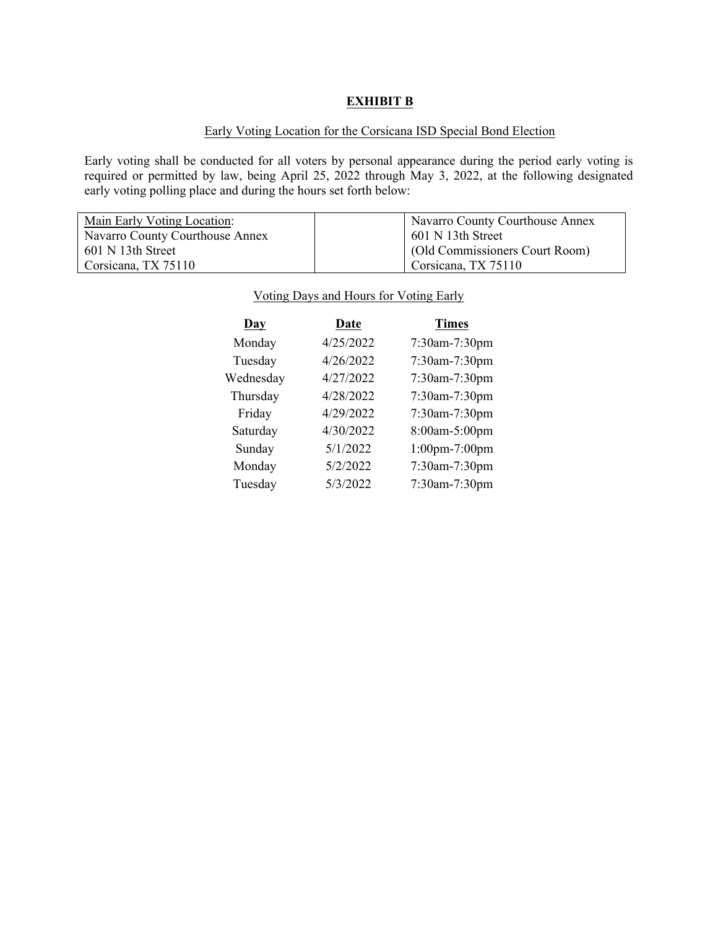## **EXHIBIT B**

## Early Voting Location for the Corsicana ISD Special Bond Election

Early voting shall be conducted for all voters by personal appearance during the period early voting is required or permitted by law, being April 25, 2022 through May 3, 2022, at the following designated early voting polling place and during the hours set forth below:

| Main Early Voting Location:     | 'Navarro County Courthouse Annex |  |
|---------------------------------|----------------------------------|--|
| Navarro County Courthouse Annex | $601$ N 13th Street              |  |
| 601 N 13th Street               | (Old Commissioners Court Room)   |  |
| Corsicana, TX 75110             | Corsicana, TX 75110              |  |

| $\mathbf{Day}$ | Date      | <b>Times</b>         |
|----------------|-----------|----------------------|
| Monday         | 4/25/2022 | 7:30am-7:30pm        |
| Tuesday        | 4/26/2022 | $7:30$ am- $7:30$ pm |
| Wednesday      | 4/27/2022 | $7:30$ am- $7:30$ pm |
| Thursday       | 4/28/2022 | $7:30$ am- $7:30$ pm |
| Friday         | 4/29/2022 | $7:30$ am- $7:30$ pm |
| Saturday       | 4/30/2022 | 8:00am-5:00pm        |
| Sunday         | 5/1/2022  | $1:00$ pm-7:00pm     |
| Monday         | 5/2/2022  | 7:30am-7:30pm        |
| Tuesday        | 5/3/2022  | 7:30am-7:30pm        |

### Voting Days and Hours for Voting Early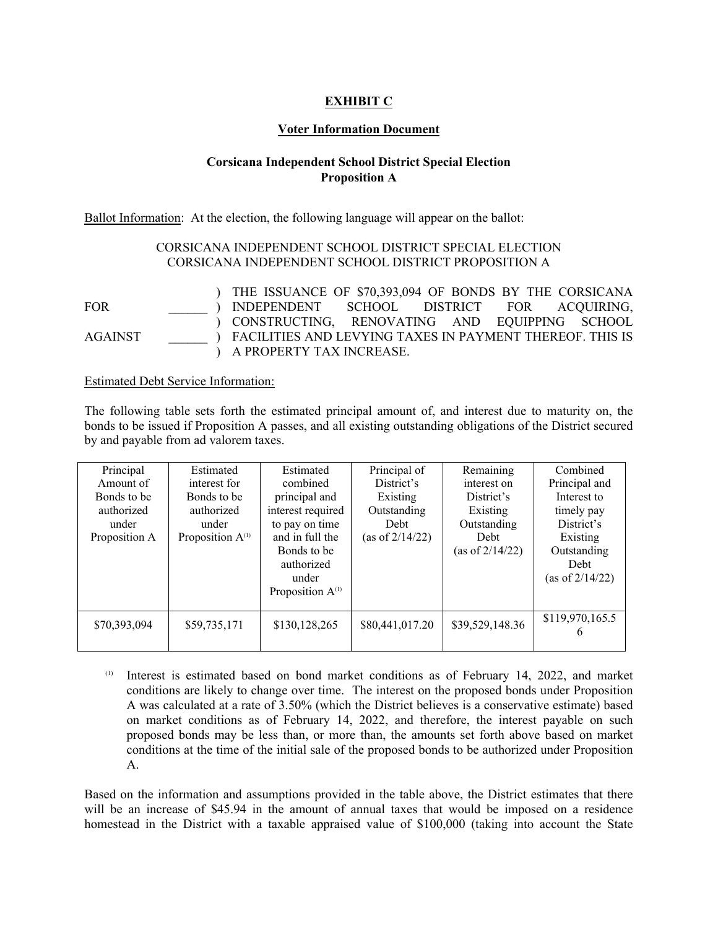# **EXHIBIT C**

#### **Voter Information Document**

## **Corsicana Independent School District Special Election Proposition A**

Ballot Information: At the election, the following language will appear on the ballot:

## CORSICANA INDEPENDENT SCHOOL DISTRICT SPECIAL ELECTION CORSICANA INDEPENDENT SCHOOL DISTRICT PROPOSITION A

FOR \_\_\_\_\_\_ ) INDEPENDENT SCHOOL DISTRICT FOR ACQUIRING, AGAINST \_\_\_\_\_\_ ) FACILITIES AND LEVYING TAXES IN PAYMENT THEREOF. THIS IS ) THE ISSUANCE OF \$70,393,094 OF BONDS BY THE CORSICANA ) CONSTRUCTING, RENOVATING AND EQUIPPING SCHOOL ) A PROPERTY TAX INCREASE.

#### Estimated Debt Service Information:

The following table sets forth the estimated principal amount of, and interest due to maturity on, the bonds to be issued if Proposition A passes, and all existing outstanding obligations of the District secured by and payable from ad valorem taxes.

Interest is estimated based on bond market conditions as of February 14, 2022, and market conditions are likely to change over time. The interest on the proposed bonds under Proposition A was calculated at a rate of 3.50% (which the District believes is a conservative estimate) based on market conditions as of February 14, 2022, and therefore, the interest payable on such proposed bonds may be less than, or more than, the amounts set forth above based on market conditions at the time of the initial sale of the proposed bonds to be authorized under Proposition A.

Based on the information and assumptions provided in the table above, the District estimates that there will be an increase of \$45.94 in the amount of annual taxes that would be imposed on a residence homestead in the District with a taxable appraised value of \$100,000 (taking into account the State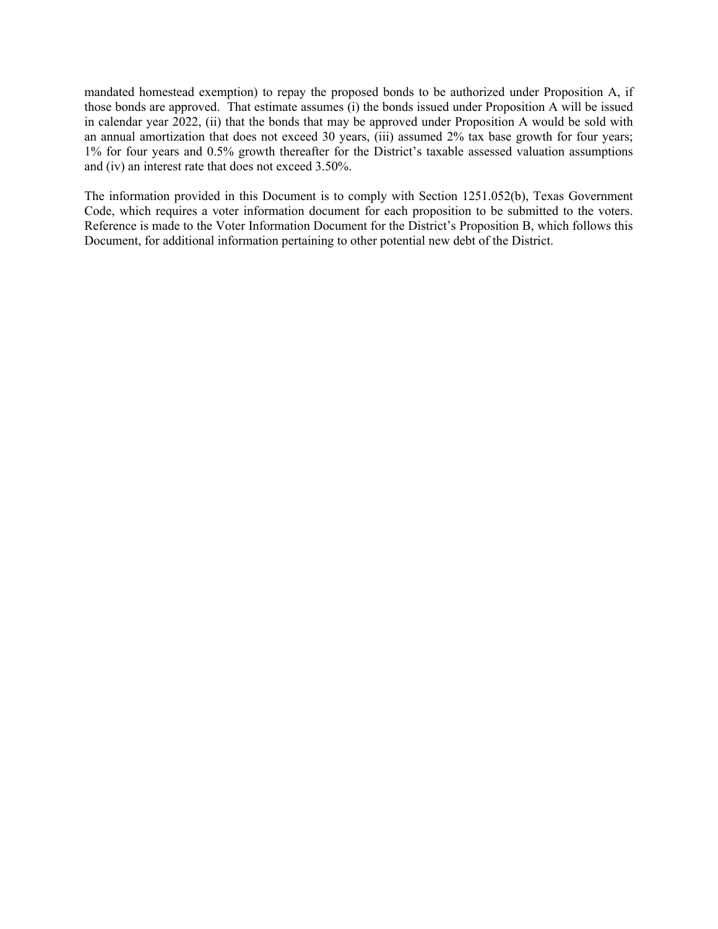mandated homestead exemption) to repay the proposed bonds to be authorized under Proposition A, if those bonds are approved. That estimate assumes (i) the bonds issued under Proposition A will be issued in calendar year 2022, (ii) that the bonds that may be approved under Proposition A would be sold with an annual amortization that does not exceed 30 years, (iii) assumed 2% tax base growth for four years; 1% for four years and 0.5% growth thereafter for the District's taxable assessed valuation assumptions and (iv) an interest rate that does not exceed 3.50%.

The information provided in this Document is to comply with Section 1251.052(b), Texas Government Code, which requires a voter information document for each proposition to be submitted to the voters. Reference is made to the Voter Information Document for the District's Proposition B, which follows this Document, for additional information pertaining to other potential new debt of the District.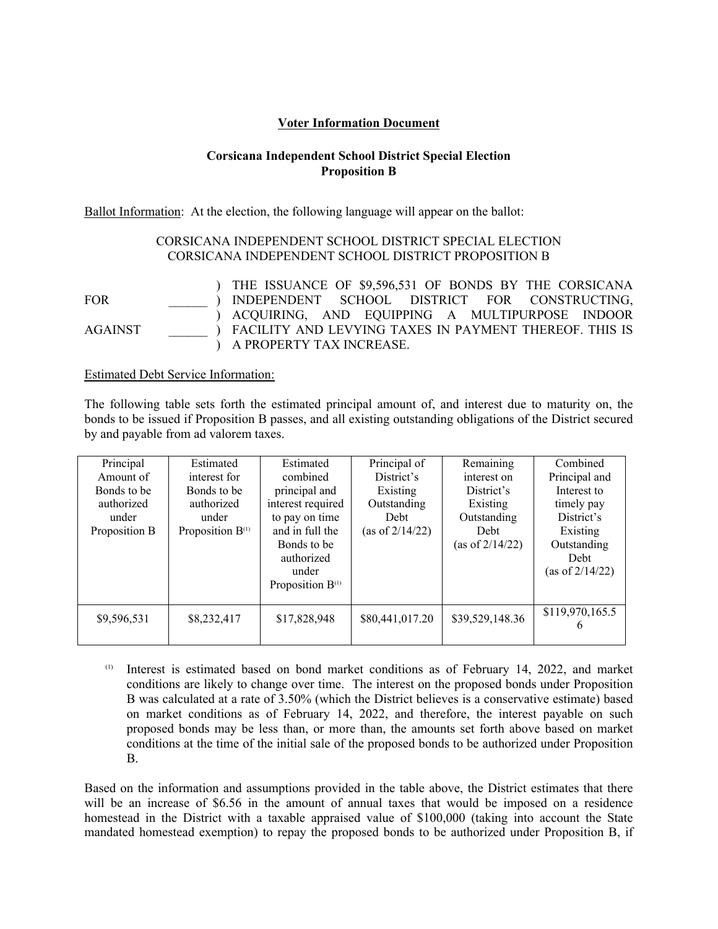## **Voter Information Document**

## **Corsicana Independent School District Special Election Proposition B**

Ballot Information: At the election, the following language will appear on the ballot:

## CORSICANA INDEPENDENT SCHOOL DISTRICT SPECIAL ELECTION CORSICANA INDEPENDENT SCHOOL DISTRICT PROPOSITION B

FOR \_\_\_\_\_\_ ) INDEPENDENT SCHOOL DISTRICT FOR CONSTRUCTING, AGAINST \_\_\_\_\_\_ ) FACILITY AND LEVYING TAXES IN PAYMENT THEREOF. THIS IS ) THE ISSUANCE OF \$9,596,531 OF BONDS BY THE CORSICANA ) ACQUIRING, AND EQUIPPING A MULTIPURPOSE INDOOR ) A PROPERTY TAX INCREASE.

#### Estimated Debt Service Information:

The following table sets forth the estimated principal amount of, and interest due to maturity on, the bonds to be issued if Proposition B passes, and all existing outstanding obligations of the District secured by and payable from ad valorem taxes.

| Principal<br>Amount of<br>Bonds to be<br>authorized<br>under<br>Proposition B | Estimated<br>interest for<br>Bonds to be<br>authorized<br>under<br>Proposition $B$ <sup>(1)</sup> | Estimated<br>combined<br>principal and<br>interest required<br>to pay on time<br>and in full the<br>Bonds to be<br>authorized<br>under<br>Proposition $B$ <sup>(1)</sup> | Principal of<br>District's<br>Existing<br>Outstanding<br>Debt<br>(as of $2/14/22$ ) | Remaining<br>interest on<br>District's<br>Existing<br>Outstanding<br>Debt<br>(as of $2/14/22$ ) | Combined<br>Principal and<br>Interest to<br>timely pay<br>District's<br>Existing<br>Outstanding<br>Debt<br>(as of $2/14/22$ ) |
|-------------------------------------------------------------------------------|---------------------------------------------------------------------------------------------------|--------------------------------------------------------------------------------------------------------------------------------------------------------------------------|-------------------------------------------------------------------------------------|-------------------------------------------------------------------------------------------------|-------------------------------------------------------------------------------------------------------------------------------|
| \$9,596,531                                                                   | \$8,232,417                                                                                       | \$17,828,948                                                                                                                                                             | \$80,441,017.20                                                                     | \$39,529,148.36                                                                                 | \$119,970,165.5<br>6                                                                                                          |

(1) Interest is estimated based on bond market conditions as of February 14, 2022, and market conditions are likely to change over time. The interest on the proposed bonds under Proposition B was calculated at a rate of 3.50% (which the District believes is a conservative estimate) based on market conditions as of February 14, 2022, and therefore, the interest payable on such proposed bonds may be less than, or more than, the amounts set forth above based on market conditions at the time of the initial sale of the proposed bonds to be authorized under Proposition B.

Based on the information and assumptions provided in the table above, the District estimates that there will be an increase of \$6.56 in the amount of annual taxes that would be imposed on a residence homestead in the District with a taxable appraised value of \$100,000 (taking into account the State mandated homestead exemption) to repay the proposed bonds to be authorized under Proposition B, if